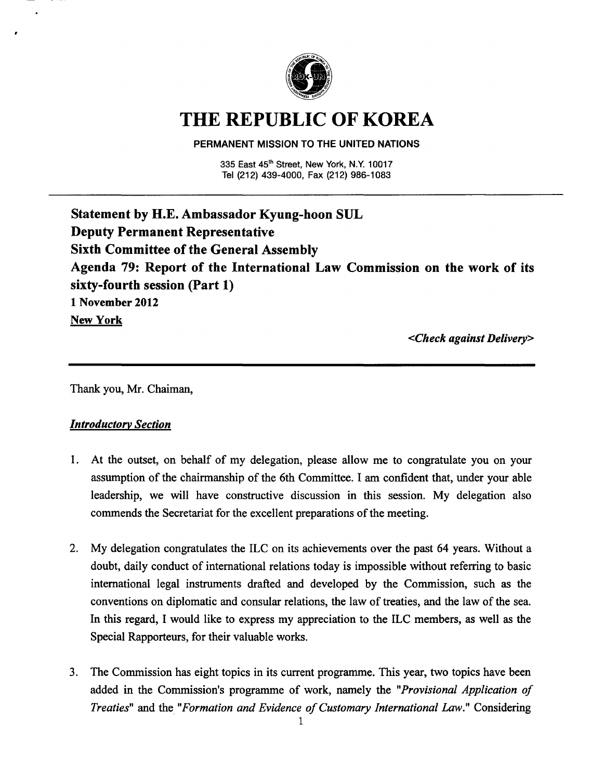

# **THE REPUBLIC OF KOREA**

#### PERMANENT **MISSION** TO THE UNITED **NATIONS**

335 East 45<sup>th</sup> Street, New York, N.Y. 10017 Tel (212) 439-4000, Fax (212) 986-1083

**Statement by H.E. Ambassador Kyung-boon SUL Deputy Permanent Representative Sixth Committee of the General Assembly Agenda 79: Report of the International Law Commission on the work of its sixty-fourth session (Part 1) 1 November 2012 New York** 

*<Check against Delivery>* 

Thank you, Mr. Chaiman,

# *Introductory Section*

- 1. At the outset, on behalf of my delegation, please allow me to congratulate you on your assumption of the chairmanship of the 6th Committee. I am confident that, under your able leadership, we will have constructive discussion in this session. My delegation also commends the Secretariat for the excellent preparations of the meeting.
- 2. My delegation congratulates the ILC on its achievements over the past 64 years. Without a doubt, daily conduct of international relations today is impossible without referring to basic international legal instruments drafted and developed by the Commission, such as the conventions on diplomatic and consular relations, the law of treaties, and the law of the sea. In this regard, I would like to express my appreciation to the ILC members, as well as the Special Rapporteurs, for their valuable works.
- 3. The Commission has eight topics in its current programme. This year, two topics have been added in the Commission's programme of work, namely the *"Provisional Application of Treaties"* and the\_ *"Formation and Evidence of Customary International Law."* Considering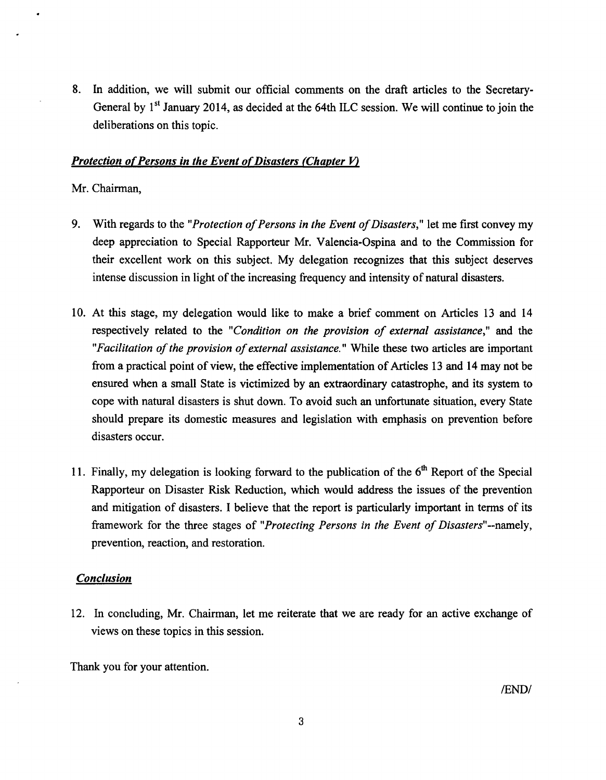8. In addition, we will submit our official comments on the draft articles to the Secretary-General by 1<sup>st</sup> January 2014, as decided at the 64th ILC session. We will continue to join the deliberations on this topic.

## *Protection of Persons in the Event of Disasters (Chapter V)*

#### Mr. Chairman,

- 9. With regards to the *"Protection of Persons in the Event of Disasters,"* let me first convey my deep appreciation to Special Rapporteur Mr. Valencia-Ospina and to the Commission for their excellent work on this subject. My delegation recognizes that this subject deserves intense discussion in light of the increasing frequency and intensity of natural disasters.
- 10. At this stage, my delegation would like to make a brief comment on Articles 13 and 14 respectively related to the *"Condition on the provision of external assistance,"* and the *"Facilitation of the provision of external assistance."* While these two articles are important from a practical point of view, the effective implementation of Articles 13 and 14 may not be ensured when a small State is victimized by an extraordinary catastrophe, and its system to cope with natural disasters is shut down. To avoid such an unfortunate situation, every State should prepare its domestic measures and legislation with emphasis on prevention before disasters occur.
- 11. Finally, my delegation is looking forward to the publication of the  $6<sup>th</sup>$  Report of the Special Rapporteur on Disaster Risk Reduction, which would address the issues of the prevention and mitigation of disasters. I believe that the report is particularly important in terms of its framework for the three stages of *"Protecting Persons in the Event of Disasters"--namely,*  prevention, reaction, and restoration.

#### *Conclusion*

12. In concluding, Mr. Chairman, let me reiterate that we are ready for an active exchange of views on these topics in this session.

Thank you for your attention.